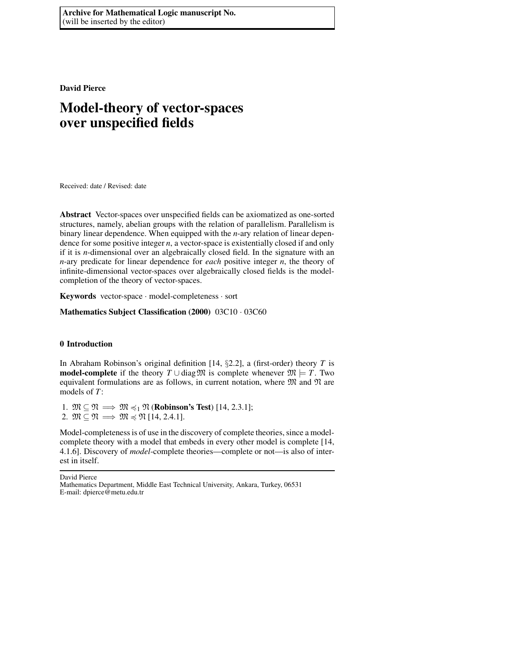**David Pierce**

# **Model-theory of vector-spaces over unspecified fields**

Received: date / Revised: date

**Abstract** Vector-spaces over unspecified fields can be axiomatized as one-sorted structures, namely, abelian groups with the relation of parallelism. Parallelism is binary linear dependence. When equipped with the *n*-ary relation of linear dependence for some positive integer *n*, a vector-space is existentially closed if and only if it is *n*-dimensional over an algebraically closed field. In the signature with an *n*-ary predicate for linear dependence for *each* positive integer *n*, the theory of infinite-dimensional vector-spaces over algebraically closed fields is the modelcompletion of the theory of vector-spaces.

**Keywords** vector-space · model-completeness · sort

**Mathematics Subject Classification (2000)** 03C10 · 03C60

## **0 Introduction**

In Abraham Robinson's original definition [14, §2.2], a (first-order) theory *T* is **model-complete** if the theory  $T \cup diag\mathfrak{M}$  is complete whenever  $\mathfrak{M} \models T$ . Two equivalent formulations are as follows, in current notation, where  $\mathfrak M$  and  $\mathfrak N$  are models of *T*:

1.  $\mathfrak{M} \subseteq \mathfrak{N} \implies \mathfrak{M} \leq 1 \mathfrak{N}$  (**Robinson's Test**) [14, 2.3.1]; 2.  $\mathfrak{M} \subset \mathfrak{N} \Longrightarrow \mathfrak{M} \preccurlyeq \mathfrak{N}$  [14, 2.4.1].

Model-completeness is of use in the discovery of complete theories, since a modelcomplete theory with a model that embeds in every other model is complete [14, 4.1.6]. Discovery of *model*-complete theories—complete or not—is also of interest in itself.

David Pierce

Mathematics Department, Middle East Technical University, Ankara, Turkey, 06531 E-mail: dpierce@metu.edu.tr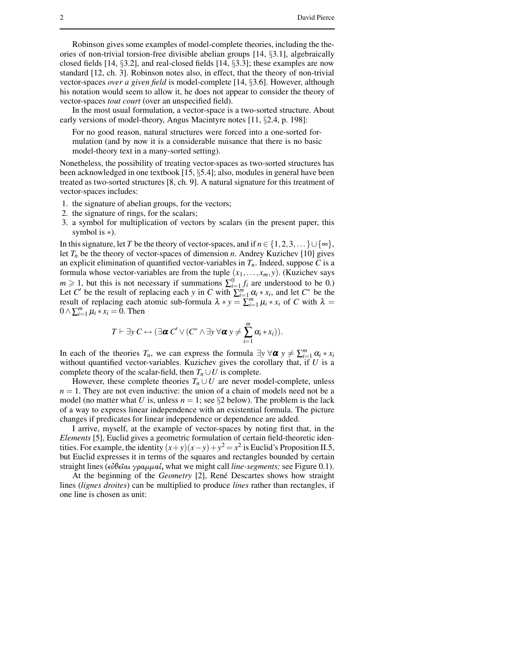Robinson gives some examples of model-complete theories, including the theories of non-trivial torsion-free divisible abelian groups [14, §3.1], algebraically closed fields [14, §3.2], and real-closed fields [14, §3.3]; these examples are now standard [12, ch. 3]. Robinson notes also, in effect, that the theory of non-trivial vector-spaces *over a given field* is model-complete [14, §3.6]. However, although his notation would seem to allow it, he does not appear to consider the theory of vector-spaces *tout court* (over an unspecified field).

In the most usual formulation, a vector-space is a two-sorted structure. About early versions of model-theory, Angus Macintyre notes [11, §2.4, p. 198]:

For no good reason, natural structures were forced into a one-sorted formulation (and by now it is a considerable nuisance that there is no basic model-theory text in a many-sorted setting).

Nonetheless, the possibility of treating vector-spaces as two-sorted structures has been acknowledged in one textbook [15, §5.4]; also, modules in general have been treated as two-sorted structures [8, ch. 9]. A natural signature for this treatment of vector-spaces includes:

- 1. the signature of abelian groups, for the vectors;
- 2. the signature of rings, for the scalars;
- 3. a symbol for multiplication of vectors by scalars (in the present paper, this symbol is ∗).

In this signature, let *T* be the theory of vector-spaces, and if  $n \in \{1, 2, 3, ...\} \cup \{\infty\}$ , let  $T_n$  be the theory of vector-spaces of dimension *n*. Andrey Kuzichev [10] gives an explicit elimination of quantified vector-variables in  $T<sub>n</sub>$ . Indeed, suppose C is a formula whose vector-variables are from the tuple  $(x_1, \ldots, x_m, y)$ . (Kuzichev says  $m \geq 1$ , but this is not necessary if summations  $\sum_{i=1}^{0} f_i$  are understood to be 0.) Let *C'* be the result of replacing each *y* in *C* with  $\sum_{i=1}^{m} \alpha_i * x_i$ , and let *C*<sup>\*</sup> be the result of replacing each atomic sub-formula  $\lambda * y = \sum_{i=1}^{n} \mu_i * x_i$  of *C* with  $\lambda =$ 0 ∧  $\sum_{i=1}^{m} \mu_i * x_i = 0$ . Then

$$
T \vdash \exists y \ C \leftrightarrow (\exists \boldsymbol{\alpha} \ C' \vee (C^* \wedge \exists y \ \forall \boldsymbol{\alpha} \ y \neq \sum_{i=1}^m \alpha_i * x_i)).
$$

In each of the theories  $T_n$ , we can express the formula  $\exists y \,\forall \alpha \, y \neq \sum_{i=1}^m \alpha_i * x_i$ without quantified vector-variables. Kuzichev gives the corollary that, if *U* is a complete theory of the scalar-field, then  $T_n \cup U$  is complete.

However, these complete theories  $T_n \cup U$  are never model-complete, unless  $n = 1$ . They are not even inductive: the union of a chain of models need not be a model (no matter what *U* is, unless  $n = 1$ ; see §2 below). The problem is the lack of a way to express linear independence with an existential formula. The picture changes if predicates for linear independence or dependence are added.

I arrive, myself, at the example of vector-spaces by noting first that, in the *Elements* [5], Euclid gives a geometric formulation of certain field-theoretic identities. For example, the identity  $(x+y)(x-y)+y^2=x^2$  is Euclid's Proposition II.5, but Euclid expresses it in terms of the squares and rectangles bounded by certain straight lines (εÙθεαι γραµµαί, what we might call *line-segments;* see Figure 0.1).

At the beginning of the *Geometry* [2], René Descartes shows how straight lines (*lignes droites*) can be multiplied to produce *lines* rather than rectangles, if one line is chosen as unit: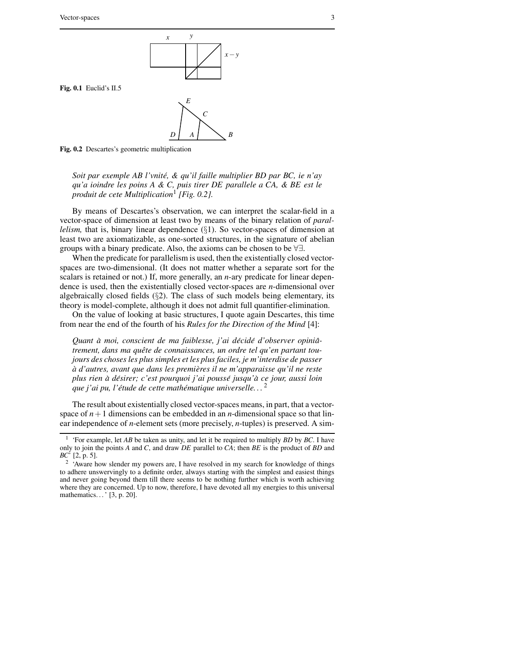

**Fig. 0.1** Euclid's II.5



**Fig. 0.2** Descartes's geometric multiplication

*Soit par exemple AB l'vnite,´ & qu'il faille multiplier BD par BC, ie n'ay qu'a ioindre les poins A & C, puis tirer DE parallele a CA, & BE est le produit de cete Multiplication*<sup>1</sup> *[Fig. 0.2].*

By means of Descartes's observation, we can interpret the scalar-field in a vector-space of dimension at least two by means of the binary relation of *parallelism,* that is, binary linear dependence (§1). So vector-spaces of dimension at least two are axiomatizable, as one-sorted structures, in the signature of abelian groups with a binary predicate. Also, the axioms can be chosen to be ∀∃.

When the predicate for parallelism is used, then the existentially closed vectorspaces are two-dimensional. (It does not matter whether a separate sort for the scalars is retained or not.) If, more generally, an *n*-ary predicate for linear dependence is used, then the existentially closed vector-spaces are *n*-dimensional over algebraically closed fields  $(\S2)$ . The class of such models being elementary, its theory is model-complete, although it does not admit full quantifier-elimination.

On the value of looking at basic structures, I quote again Descartes, this time from near the end of the fourth of his *Rules for the Direction of the Mind* [4]:

*Quant a` moi, conscient de ma faiblesse, j'ai decid ´ e´ d'observer opinia-ˆ trement, dans ma quete ˆ de connaissances, un ordre tel qu'en partant toujours des choses les plus simples et les plus faciles, je m'interdise de passer a` d'autres, avant que dans les premier` es il ne m'apparaisse qu'il ne reste plus rien a` desir ´ er; c'est pourquoi j'ai pousse´ jusqu'a` ce jour, aussi loin que j'ai pu, l'etude ´ de cette mathematique ´ universelle. . .* 2

The result about existentially closed vector-spaces means, in part, that a vectorspace of  $n+1$  dimensions can be embedded in an *n*-dimensional space so that linear independence of *n*-element sets (more precisely, *n*-tuples) is preserved. A sim-

<sup>1</sup> 'For example, let *AB* be taken as unity, and let it be required to multiply *BD* by *BC*. I have only to join the points *A* and *C*, and draw *DE* parallel to *CA*; then *BE* is the product of *BD* and *BC*' [2, p. 5].

<sup>&</sup>lt;sup>2</sup> 'Aware how slender my powers are, I have resolved in my search for knowledge of things to adhere unswervingly to a definite order, always starting with the simplest and easiest things and never going beyond them till there seems to be nothing further which is worth achieving where they are concerned. Up to now, therefore, I have devoted all my energies to this universal mathematics...' [3, p. 20].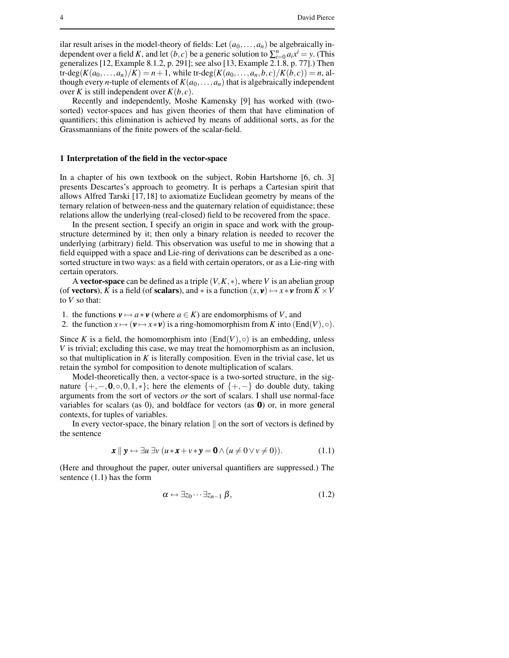ilar result arises in the model-theory of fields: Let  $(a_0, \ldots, a_n)$  be algebraically independent over a field *K*, and let  $(b, c)$  be a generic solution to  $\sum_{i=0}^{n} a_i x^i = y$ . (This generalizes[12, Example 8.1.2, p. 291]; see also [13, Example 2.1.8, p. 77].) Then  $tr-\deg(K(a_0,...,a_n)/K) = n+1$ , while  $tr-\deg(K(a_0,...,a_n,b,c)/K(b,c)) = n$ , although every *n*-tuple of elements of  $K(a_0, \ldots, a_n)$  that is algebraically independent over *K* is still independent over  $K(b, c)$ .

Recently and independently, Moshe Kamensky [9] has worked with (twosorted) vector-spaces and has given theories of them that have elimination of quantifiers; this elimination is achieved by means of additional sorts, as for the Grassmannians of the finite powers of the scalar-field.

#### **1 Interpretation of the field in the vector-space**

In a chapter of his own textbook on the subject, Robin Hartshorne [6, ch. 3] presents Descartes's approach to geometry. It is perhaps a Cartesian spirit that allows Alfred Tarski [17,18] to axiomatize Euclidean geometry by means of the ternary relation of between-ness and the quaternary relation of equidistance; these relations allow the underlying (real-closed) field to be recovered from the space.

In the present section, I specify an origin in space and work with the groupstructure determined by it; then only a binary relation is needed to recover the underlying (arbitrary) field. This observation was useful to me in showing that a field equipped with a space and Lie-ring of derivations can be described as a onesorted structure in two ways: as a field with certain operators, or as a Lie-ring with certain operators.

A **vector-space** can be defined as a triple (*V*,*K*,∗), where *V* is an abelian group (of **vectors**), *K* is a field (of **scalars**), and  $*$  is a function  $(x, y) \mapsto x * y$  from  $K \times V$ to *V* so that:

1. the functions  $\mathbf{v} \mapsto a * \mathbf{v}$  (where  $a \in K$ ) are endomorphisms of *V*, and

2. the function  $x \mapsto (\mathbf{v} \mapsto x \cdot \mathbf{v})$  is a ring-homomorphism from *K* into (End(*V*),  $\circ$ ).

Since *K* is a field, the homomorphism into  $(End(V), \circ)$  is an embedding, unless *V* is trivial; excluding this case, we may treat the homomorphism as an inclusion, so that multiplication in  $K$  is literally composition. Even in the trivial case, let us retain the symbol for composition to denote multiplication of scalars.

Model-theoretically then, a vector-space is a two-sorted structure, in the signature  $\{+, -, 0, \circ, 0, 1, *\}$ ; here the elements of  $\{+, -\}$  do double duty, taking arguments from the sort of vectors *or* the sort of scalars. I shall use normal-face variables for scalars (as 0), and boldface for vectors (as  $\mathbf{0}$ ) or, in more general contexts, for tuples of variables.

In every vector-space, the binary relation  $\parallel$  on the sort of vectors is defined by the sentence

$$
\boldsymbol{x} \parallel \boldsymbol{y} \leftrightarrow \exists u \exists v \ (u \ast \boldsymbol{x} + v \ast \boldsymbol{y} = \boldsymbol{0} \land (u \neq 0 \lor v \neq 0)). \tag{1.1}
$$

(Here and throughout the paper, outer universal quantifiers are suppressed.) The sentence (1.1) has the form

$$
\alpha \leftrightarrow \exists z_0 \cdots \exists z_{n-1} \beta, \qquad (1.2)
$$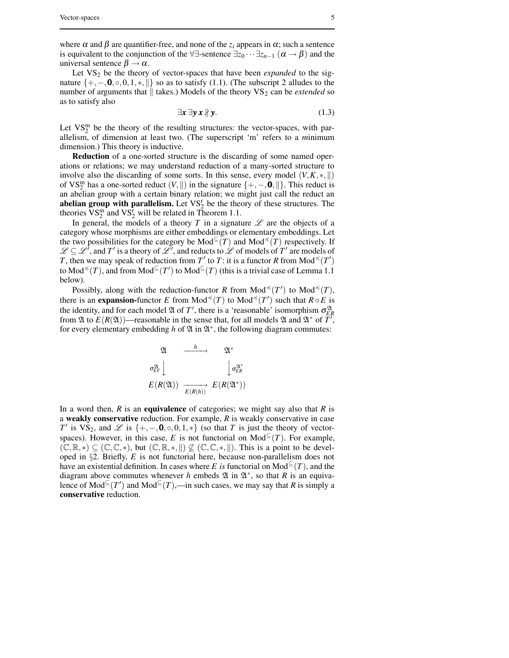where  $\alpha$  and  $\beta$  are quantifier-free, and none of the  $z_i$  appears in  $\alpha$ ; such a sentence is equivalent to the conjunction of the  $\forall \exists$ -sentence  $\exists z_0 \cdots \exists z_{n-1}$  ( $\alpha \rightarrow \beta$ ) and the universal sentence  $\beta \rightarrow \alpha$ .

Let VS<sub>2</sub> be the theory of vector-spaces that have been *expanded* to the signature  $\{+, -, 0, ∘, 0, 1, *, \| \}$  so as to satisfy (1.1). (The subscript 2 alludes to the number of arguments that  $\parallel$  takes.) Models of the theory VS<sub>2</sub> can be *extended* so as to satisfy also

$$
\exists x \exists y \, x \, \nparallel y. \tag{1.3}
$$

Let  $VS_2^m$  be the theory of the resulting structures: the vector-spaces, with parallelism, of dimension at least two. (The superscript 'm' refers to a *m*inimum dimension.) This theory is inductive.

**Reduction** of a one-sorted structure is the discarding of some named operations or relations; we may understand reduction of a many-sorted structure to involve also the discarding of some sorts. In this sense, every model  $(V, K, *, \|)$ of VS<sup>m</sup> has a one-sorted reduct  $(V, \parallel)$  in the signature  $\{+,-, \mathbf{0}, \parallel\}$ . This reduct is an abelian group with a certain binary relation; we might just call the reduct an **abelian group with parallelism.** Let  $VS_2^r$  be the theory of these structures. The theories  $VS_2^m$  and  $VS_2^r$  will be related in Theorem 1.1.

In general, the models of a theory *T* in a signature  $\mathscr L$  are the objects of a category whose morphisms are either embeddings or elementary embeddings. Let the two possibilities for the category be  $\text{Mod}^{\subseteq}(T)$  and  $\text{Mod}^{\preccurlyeq}(T)$  respectively. If  $\mathscr{L} \subseteq \mathscr{L}^{\prime}$ , and *T'* is a theory of  $\mathscr{L}^{\prime}$ , and reducts to  $\mathscr{L}$  of models of *T'* are models of *T*, then we may speak of reduction from *T*<sup> $\prime$ </sup> to *T*: it is a functor *R* from Mod<sup> $\preccurlyeq$ </sup>(*T*<sup> $\prime$ </sup>) to  $\text{Mod}^{\preccurlyeq}(T)$ , and from  $\text{Mod}^{\subseteq}(T')$  to  $\text{Mod}^{\subseteq}(T)$  (this is a trivial case of Lemma 1.1 below).

Possibly, along with the reduction-functor *R* from  $Mod^{\preccurlyeq}(T')$  to  $Mod^{\preccurlyeq}(T)$ , there is an **expansion-**functor *E* from Mod<sup> $\preccurlyeq$ </sup>(*T*) to Mod<sup> $\preccurlyeq$ </sup>(*T'*) such that  $R \circ E$  is the identity, and for each model  $\mathfrak A$  of  $T'$ , there is a 'reasonable' isomorphism  $\sigma_{ER}^{\mathfrak A}$ from  $\mathfrak A$  to  $E(R(\mathfrak A))$ —reasonable in the sense that, for all models  $\mathfrak A$  and  $\mathfrak A^*$  of  $\overline{T}$ , for every elementary embedding h of  $\mathfrak A$  in  $\mathfrak A^*$ , the following diagram commutes:

| N                            |         | 21*                            |
|------------------------------|---------|--------------------------------|
| $\sigma_{EF}^{\mathfrak{A}}$ |         | $\sigma_{ER}^{\mathfrak{A}^*}$ |
| $E(R(\mathfrak{A}))$         | E(R(h)) | $E(R(\mathfrak{A}^*))$         |

In a word then, *R* is an **equivalence** of categories; we might say also that *R* is a **weakly conservative** reduction. For example, *R* is weakly conservative in case *T*<sup>
i</sup> is VS<sub>2</sub>, and  $\mathscr L$  is {+, -,0, ∘, 0, 1, ∗} (so that *T* is just the theory of vectorspaces). However, in this case, *E* is not functorial on  $Mod^{\subseteq}(T)$ . For example,  $(\mathbb{C}, \mathbb{R}, *) \subseteq (\mathbb{C}, \mathbb{C}, *)$ , but  $(\mathbb{C}, \mathbb{R}, *, \|) \nsubseteq (\mathbb{C}, \mathbb{C}, *, \|)$ . This is a point to be developed in §2. Briefly, *E* is not functorial here, because non-parallelism does not have an existential definition. In cases where *E is* functorial on  $Mod^{\subseteq}(T)$ , and the diagram above commutes whenever *h* embeds  $\mathfrak A$  in  $\mathfrak A^*$ , so that *R* is an equivalence of  $Mod^{\subseteq}(T')$  and  $Mod^{\subseteq}(T)$ ,—in such cases, we may say that *R* is simply a **conservative** reduction.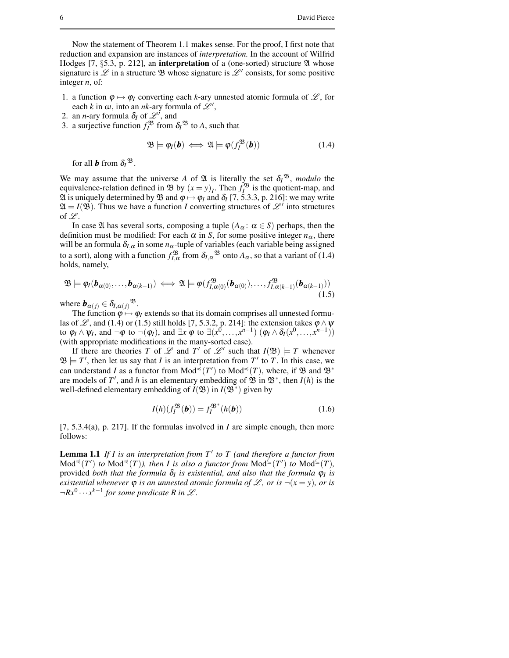Now the statement of Theorem 1.1 makes sense. For the proof, I first note that reduction and expansion are instances of *interpretation.* In the account of Wilfrid Hodges [7, §5.3, p. 212], an **interpretation** of a (one-sorted) structure  $\mathfrak A$  whose signature is  $\mathscr L$  in a structure  $\mathfrak B$  whose signature is  $\mathscr L'$  consists, for some positive integer *n*, of:

- 1. a function  $\varphi \mapsto \varphi_I$  converting each *k*-ary unnested atomic formula of  $\mathscr{L}$ , for each *k* in  $\omega$ , into an *nk*-ary formula of  $\mathscr{L}'$ ,
- 2. an *n*-ary formula  $\delta_I$  of  $\mathscr{L}^i$ , and
- 3. a surjective function  $f_I^{\mathfrak{B}}$  from  $\delta_I^{\mathfrak{B}}$  to *A*, such that

$$
\mathfrak{B} \models \varphi_I(\mathbf{b}) \iff \mathfrak{A} \models \varphi(f_I^{\mathfrak{B}}(\mathbf{b})) \tag{1.4}
$$

for all  $\boldsymbol{b}$  from  $\delta_l$ <sup>38</sup>.

We may assume that the universe *A* of  $\mathfrak{A}$  is literally the set  $\delta_l^{\mathfrak{B}}$ , *modulo* the equivalence-relation defined in  $\mathfrak{B}$  by  $(x = y)_I$ . Then  $f_I^{\mathfrak{B}}$  is the quotient-map, and  $\mathfrak A$  is uniquely determined by  $\mathfrak B$  and  $\varphi \mapsto \varphi_I$  and  $\delta_I$  [7, 5.3.3, p. 216]: we may write  $\mathfrak{A} = I(\mathfrak{B})$ . Thus we have a function *I* converting structures of  $\mathcal{L}^{\prime}$  into structures of  $\mathscr{L}$ .

In case  $\mathfrak A$  has several sorts, composing a tuple  $(A_\alpha : \alpha \in S)$  perhaps, then the definition must be modified: For each  $\alpha$  in *S*, for some positive integer  $n_{\alpha}$ , there will be an formula  $\delta_{I,\alpha}$  in some  $n_{\alpha}$ -tuple of variables (each variable being assigned to a sort), along with a function  $f_{I,\alpha}^{\mathfrak{B}}$  from  $\delta_{I,\alpha}^{\mathfrak{B}}$  onto  $A_{\alpha}$ , so that a variant of (1.4) holds, namely,

$$
\mathfrak{B}\models\varphi_I(\boldsymbol{b}_{\alpha(0)},\ldots,\boldsymbol{b}_{\alpha(k-1)})\iff\mathfrak{A}\models\varphi(f_{I,\alpha(0)}^{\mathfrak{B}}(\boldsymbol{b}_{\alpha(0)}),\ldots,f_{I,\alpha(k-1)}^{\mathfrak{B}}(\boldsymbol{b}_{\alpha(k-1)}))
$$
\n(1.5)

where  $\mathbf{b}_{\alpha(j)} \in \delta_{I, \alpha(j)}$ <sup>93</sup>.

The function  $\phi \mapsto \phi$ *I* extends so that its domain comprises all unnested formulas of L, and (1.4) or (1.5) still holds [7, 5.3.2, p. 214]: the extension takes  $\varphi \wedge \psi$ to  $\varphi_I \wedge \psi_I$ , and  $\neg \varphi$  to  $\neg(\varphi_I)$ , and  $\exists x \varphi$  to  $\exists (x^0, \ldots, x^{n-1}) (\varphi_I \wedge \delta_I(x^0, \ldots, x^{n-1}))$ (with appropriate modifications in the many-sorted case).

If there are theories *T* of *L* and *T'* of *L'* such that  $I(\mathfrak{B}) = T$  whenever  $\mathfrak{B} \models T'$ , then let us say that *I* is an interpretation from  $T'$  to  $T$ . In this case, we can understand *I* as a functor from Mod<sup> $\preccurlyeq$ </sup>(*T*<sup>'</sup>) to Mod<sup> $\preccurlyeq$ </sup>(*T*), where, if  $\mathfrak{B}$  and  $\mathfrak{B}^*$ are models of  $T'$ , and *h* is an elementary embedding of  $\mathfrak{B}$  in  $\mathfrak{B}^*$ , then *I*(*h*) is the well-defined elementary embedding of  $I(\mathfrak{B})$  in  $I(\mathfrak{B}^*)$  given by

$$
I(h)(f_I^{\mathfrak{B}}(\bm{b})) = f_I^{\mathfrak{B}^*}(h(\bm{b}))
$$
\n(1.6)

[7, 5.3.4(a), p. 217]. If the formulas involved in *I* are simple enough, then more follows:

**Lemma 1.1** *If I is an interpretation from T* 0 *to T (and therefore a functor from*  $\text{Mod}^{\leq}(T')$  *to*  $\text{Mod}^{\leq}(T)$ *), then I is also a functor from*  $\text{Mod}^{\leq}(T')$  *to*  $\text{Mod}^{\leq}(T)$ *,* provided *both that the formula* <sup>δ</sup>*<sup>I</sup> is existential, and also that the formula* <sup>ϕ</sup>*<sup>I</sup> is existential* whenever  $\varphi$  *is an unnested atomic formula of*  $\mathcal{L}$ *, or is*  $\neg(x = y)$ *, or is*  $\neg Rx^0 \cdots x^{k-1}$  for some predicate R in  $\mathscr{L}$ .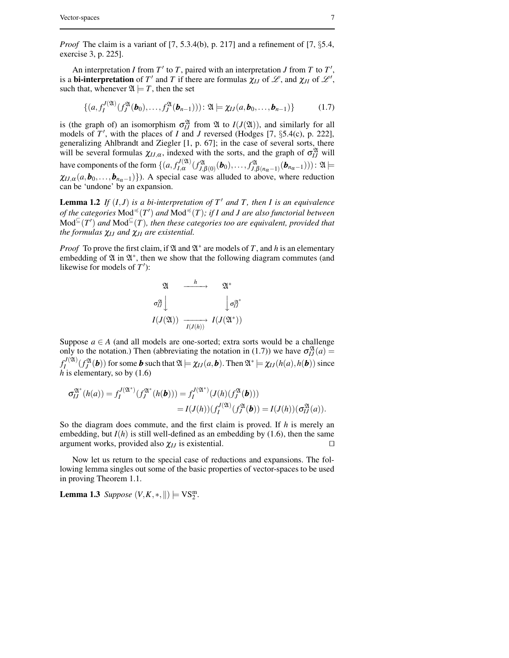*Proof* The claim is a variant of [7, 5.3.4(b), p. 217] and a refinement of [7, §5.4, exercise 3, p. 225].

An interpretation *I* from  $T'$  to  $T$ , paired with an interpretation *J* from  $T$  to  $T'$ , is a **bi-interpretation** of T' and T if there are formulas  $\chi_{IJ}$  of  $\mathscr{L}$ , and  $\chi_{JI}$  of  $\mathscr{L}'$ , such that, whenever  $\mathfrak{A} \models T$ , then the set

$$
\{(a, f_I^{J(\mathfrak{A})}(f_I^{\mathfrak{A}}(\bm{b}_0),...,f_J^{\mathfrak{A}}(\bm{b}_{n-1})): \mathfrak{A} \models \chi_{IJ}(a, \bm{b}_0,..., \bm{b}_{n-1})\}\
$$
(1.7)

is (the graph of) an isomorphism  $\sigma_{IJ}^{\mathfrak{A}}$  from  $\mathfrak A$  to  $I(J(\mathfrak{A}))$ , and similarly for all models of  $T'$ , with the places of  $I$  and  $J$  reversed (Hodges  $[7, \S 5.4(c), p. 222]$ , generalizing Ahlbrandt and Ziegler [1, p. 67]; in the case of several sorts, there will be several formulas  $\chi_{IJ,\alpha}$ , indexed with the sorts, and the graph of  $\sigma_{IJ}^{\mathfrak{A}}$  will have components of the form  $\{(a, f_{I,\alpha}^{J(\mathfrak{A})})\}$ *I*,<sup>α</sup> (*f* A  $f_{J,\beta(0)}^{\mathfrak{A}}(\bm{b}_0), \ldots, f_{J,\beta}^{\mathfrak{A}}$  $\mathcal{L}_{J,\beta(n_{\alpha}-1)}^{2\alpha}(\boldsymbol{b}_{n_{\alpha}-1})))$ :  $\mathfrak{A}\models$  $\chi_{IJ,\alpha}(a, \bm{b}_0, \ldots, \bm{b}_{n_{\alpha}-1})\}$ ). A special case was alluded to above, where reduction can be 'undone' by an expansion.

**Lemma** 1.2 *If*  $(I, J)$  *is a bi-interpretation of*  $T'$  *and*  $T$ *, then*  $I$  *is an equivalence of the categories*  $\text{Mod}^{\preccurlyeq}(T')$  *and*  $\text{Mod}^{\preccurlyeq}(T)$ *; if I and J are also functorial between*  $\text{Mod}^{\subseteq}(T')$  and  $\text{Mod}^{\subseteq}(T)$ , then these categories too are equivalent, provided that *the formulas* <sup>χ</sup>*IJ and* <sup>χ</sup>*JI are existential.*

*Proof* To prove the first claim, if  $\mathfrak A$  and  $\mathfrak A^*$  are models of T, and h is an elementary embedding of  $\mathfrak A$  in  $\mathfrak A^*$ , then we show that the following diagram commutes (and likewise for models of  $T'$ ):

$$
\begin{array}{ccc}\n\mathfrak{A} & \xrightarrow{h} & \mathfrak{A}^* \\
\sigma_{II}^{\mathfrak{A}} & & \downarrow \sigma_{II}^{\mathfrak{A}^*} \\
I(J(\mathfrak{A})) & \xrightarrow{I(J(h))} & I(J(\mathfrak{A}^*))\n\end{array}
$$

Suppose  $a \in A$  (and all models are one-sorted; extra sorts would be a challenge only to the notation.) Then (abbreviating the notation in (1.7)) we have  $\sigma_{IJ}^{\mathfrak{A}}(a)$  =  $f_I^{J(2l)}(f_J^{2l}(\boldsymbol{b}))$  for some *b* such that  $\mathfrak{A} \models \chi_{IJ}(a, \boldsymbol{b})$ . Then  $\mathfrak{A}^* \models \chi_{IJ}(h(a), h(\boldsymbol{b}))$  since *h* is elementary, so by (1.6)

$$
\sigma_{IJ}^{\mathfrak{A}^*}(h(a)) = f_I^{J(\mathfrak{A}^*)}(f_J^{\mathfrak{A}^*}(h(\boldsymbol{b}))) = f_I^{J(\mathfrak{A}^*)}(J(h)(f_J^{\mathfrak{A}}(\boldsymbol{b})))
$$
  
=  $I(J(h))(f_I^{J(\mathfrak{A})}(f_J^{\mathfrak{A}}(\boldsymbol{b})) = I(J(h))(\sigma_{IJ}^{\mathfrak{A}}(a)).$ 

So the diagram does commute, and the first claim is proved. If *h* is merely an embedding, but  $I(h)$  is still well-defined as an embedding by  $(1.6)$ , then the same argument works, provided also  $\chi_{IJ}$  is existential.

Now let us return to the special case of reductions and expansions. The following lemma singles out some of the basic properties of vector-spaces to be used in proving Theorem 1.1.

**Lemma 1.3** *Suppose*  $(V, K, *, \|) \models VS_2^m$ .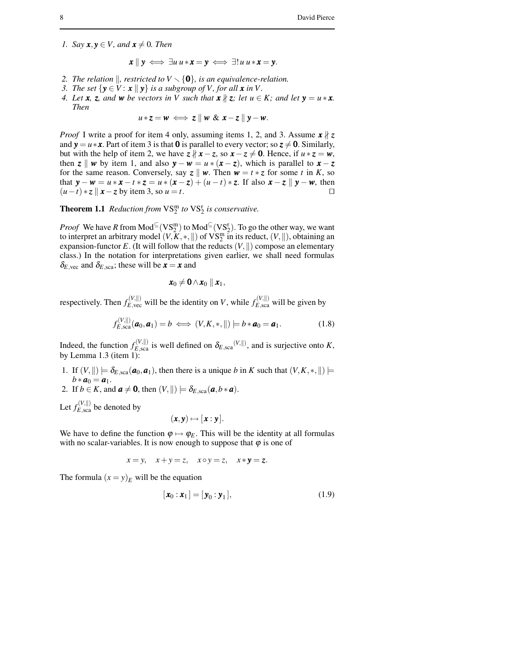*1. Say*  $\mathbf{x}, \mathbf{y} \in V$ *, and*  $\mathbf{x} \neq 0$ *. Then* 

$$
\mathbf{x} \parallel \mathbf{y} \iff \exists u \, u \ast \mathbf{x} = \mathbf{y} \iff \exists! \, u \, u \ast \mathbf{x} = \mathbf{y}.
$$

- 2. *The relation*  $\parallel$ *, restricted to*  $V \setminus \{0\}$ *, is an equivalence-relation.*
- *3. The set*  $\{y \in V : x \mid y\}$  *is a subgroup of V*, *for all*  $x$  *in V*.
- 4. Let **x**, z, and **w** be vectors in V such that  $\mathbf{x} \nmid z$ ; let  $u \in K$ ; and let  $\mathbf{y} = u \cdot \mathbf{x}$ . *Then*

$$
u * z = w \iff z \parallel w \& x - z \parallel y - w.
$$

*Proof* I write a proof for item 4 only, assuming items 1, 2, and 3. Assume *x* ∤ *z* and  $y = u * x$ . Part of item 3 is that 0 is parallel to every vector; so  $z \neq 0$ . Similarly, but with the help of item 2, we have  $z \nparallel x - z$ , so  $x - z \neq 0$ . Hence, if  $u * z = w$ , then  $z \parallel w$  by item 1, and also  $y - w = u * (x - z)$ , which is parallel to  $x - z$ for the same reason. Conversely, say  $z \parallel w$ . Then  $w = t * z$  for some *t* in *K*, so that  $\mathbf{y} - \mathbf{w} = u * \mathbf{x} - t * \mathbf{z} = u * (\mathbf{x} - \mathbf{z}) + (u - t) * \mathbf{z}$ . If also  $\mathbf{x} - \mathbf{z} \parallel \mathbf{y} - \mathbf{w}$ , then  $(u - t) * \mathbf{z} \parallel \mathbf{x} - \mathbf{z}$  by item 3, so  $u = t$ . □  $(u-t) * z \parallel x - z$  by item 3, so  $u = t$ .

**Theorem 1.1** *Reduction from*  $VS_2^m$  *to*  $VS_2^r$  *is conservative.* 

*Proof* We have *R* from  $Mod^{\subseteq}(VS_2^m)$  to  $Mod^{\subseteq}(VS_2^r)$ . To go the other way, we want to interpret an arbitrary model  $(V, K, *, \|)$  of  $V\overline{S_2^m}$  in its reduct,  $(V, \|)$ , obtaining an expansion-functor  $E$ . (It will follow that the reducts  $(V, \parallel)$  compose an elementary class.) In the notation for interpretations given earlier, we shall need formulas  $\delta_{E, \text{vec}}$  and  $\delta_{E, \text{scat}}$ ; these will be  $\mathbf{x} = \mathbf{x}$  and

$$
\mathbf{x}_0\neq \mathbf{0}\wedge \mathbf{x}_0\parallel \mathbf{x}_1,
$$

respectively. Then  $f_{E, \text{vec}}^{(V, ||)}$  will be the identity on *V*, while  $f_{E, \text{sca}}^{(V, ||)}$  will be given by

$$
f_{E,\text{sea}}^{(V,\parallel)}(\boldsymbol{a}_0,\boldsymbol{a}_1)=b \iff (V,K,*,\parallel) \models b * \boldsymbol{a}_0 = \boldsymbol{a}_1. \tag{1.8}
$$

Indeed, the function  $f_{E,\text{sea}}^{(V,||)}$  is well defined on  $\delta_{E,\text{sea}}^{(V,||)}$ , and is surjective onto *K*, by Lemma 1.3 (item 1):

- 1. If  $(V, \|) \models \delta_{E, \text{sea}}(\boldsymbol{a}_0, \boldsymbol{a}_1)$ , then there is a unique *b* in *K* such that  $(V, K, *, \|) \models$ *b*  $* a_0 = a_1$ .
- 2. If  $b \in K$ , and  $\boldsymbol{a} \neq \boldsymbol{0}$ , then  $(V, \parallel) \models \delta_{E, \text{scal}}(\boldsymbol{a}, b * \boldsymbol{a})$ .

Let  $f_{E, \text{sca}}^{(V, \parallel)}$  be denoted by

$$
(\pmb{x},\pmb{y}) \mapsto [\pmb{x}:\pmb{y}].
$$

We have to define the function  $\varphi \mapsto \varphi_E$ . This will be the identity at all formulas with no scalar-variables. It is now enough to suppose that  $\varphi$  is one of

$$
x = y, \quad x + y = z, \quad x \circ y = z, \quad x * y = z.
$$

The formula  $(x = y)_E$  will be the equation

$$
[\mathbf{x}_0 : \mathbf{x}_1] = [\mathbf{y}_0 : \mathbf{y}_1], \tag{1.9}
$$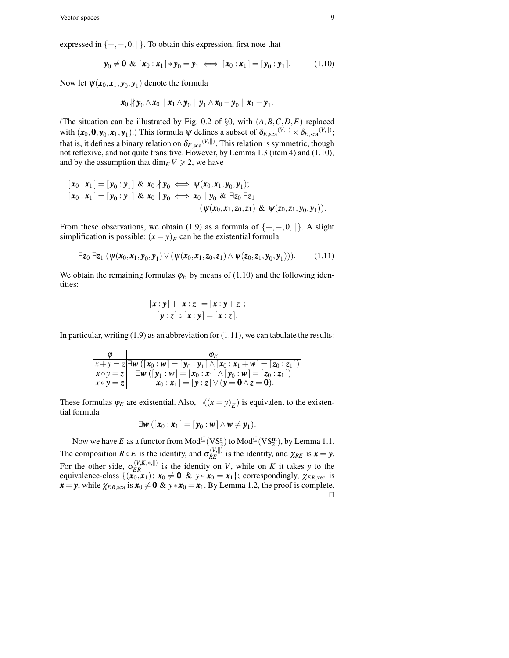expressed in  $\{+,-,0,\|\}.$  To obtain this expression, first note that

$$
\mathbf{y}_0 \neq \mathbf{0} \& [\mathbf{x}_0 : \mathbf{x}_1] * \mathbf{y}_0 = \mathbf{y}_1 \iff [\mathbf{x}_0 : \mathbf{x}_1] = [\mathbf{y}_0 : \mathbf{y}_1]. \tag{1.10}
$$

Now let  $\psi(\mathbf{x}_0,\mathbf{x}_1,\mathbf{y}_0,\mathbf{y}_1)$  denote the formula

$$
\mathbf{x}_0 \nparallel \mathbf{y}_0 \wedge \mathbf{x}_0 \parallel \mathbf{x}_1 \wedge \mathbf{y}_0 \parallel \mathbf{y}_1 \wedge \mathbf{x}_0 - \mathbf{y}_0 \parallel \mathbf{x}_1 - \mathbf{y}_1.
$$

(The situation can be illustrated by Fig. 0.2 of §0, with (*A*,*B*,*C*,*D*,*E*) replaced with  $(\mathbf{x}_0, \mathbf{0}, \mathbf{y}_0, \mathbf{x}_1, \mathbf{y}_1)$ .) This formula  $\psi$  defines a subset of  $\delta_{E, \text{sca}}^{(\mathbf{V}, \parallel)} \times \delta_{E, \text{sca}}^{(\mathbf{V}, \parallel)}$ ; that is, it defines a binary relation on  $\delta_{E, \rm sca}^{(V, ||)}$  . This relation is symmetric, though not reflexive, and not quite transitive. However, by Lemma 1.3 (item 4) and (1.10), and by the assumption that  $\dim_K V \geq 2$ , we have

$$
[\mathbf{x}_0:\mathbf{x}_1] = [\mathbf{y}_0:\mathbf{y}_1] \& \mathbf{x}_0 \nparallel \mathbf{y}_0 \iff \psi(\mathbf{x}_0,\mathbf{x}_1,\mathbf{y}_0,\mathbf{y}_1); [\mathbf{x}_0:\mathbf{x}_1] = [\mathbf{y}_0:\mathbf{y}_1] \& \mathbf{x}_0 \parallel \mathbf{y}_0 \iff \mathbf{x}_0 \parallel \mathbf{y}_0 \& \exists \mathbf{z}_0 \exists \mathbf{z}_1 (\psi(\mathbf{x}_0,\mathbf{x}_1,\mathbf{z}_0,\mathbf{z}_1) \& \psi(\mathbf{z}_0,\mathbf{z}_1,\mathbf{y}_0,\mathbf{y}_1)).
$$

From these observations, we obtain (1.9) as a formula of  $\{+, -0, \| \}$ . A slight simplification is possible:  $(x = y)_E$  can be the existential formula

$$
\exists z_0 \ \exists z_1 \ (\psi(\mathbf{x}_0,\mathbf{x}_1,\mathbf{y}_0,\mathbf{y}_1) \lor (\psi(\mathbf{x}_0,\mathbf{x}_1,\mathbf{z}_0,\mathbf{z}_1) \land \psi(\mathbf{z}_0,\mathbf{z}_1,\mathbf{y}_0,\mathbf{y}_1))).
$$
 (1.11)

We obtain the remaining formulas  $\varphi_E$  by means of (1.10) and the following identities:

$$
[\mathbf{x}:\mathbf{y}]+[\mathbf{x}:\mathbf{z}] = [\mathbf{x}:\mathbf{y}+\mathbf{z}];
$$

$$
[\mathbf{y}:\mathbf{z}] \circ [\mathbf{x}:\mathbf{y}] = [\mathbf{x}:\mathbf{z}].
$$

In particular, writing  $(1.9)$  as an abbreviation for  $(1.11)$ , we can tabulate the results:

$$
\begin{array}{c}\n\varphi \\
\hline\nx+y=z\n\end{array}\n\begin{array}{c}\n\varphi \\
\hline\nx+y=z\n\end{array}\n\end{array}\n\quad\n\begin{array}{c}\n\varphi_E \\
\hline\nx+y=z\n\end{array}\n\begin{array}{c}\n\exists w \left( [x_0:w] = [y_0:y_1] \wedge [x_0:x_1+w] = [z_0:z_1] \right) \\
\hline\n\exists w \left( [y_1:w] = [x_0:x_1] \wedge [y_0:w] = [z_0:z_1] \right) \\
\hline\n\begin{bmatrix}\nx_0:x_1 \end{bmatrix} = [y:z] \vee (y=0 \wedge z=0).\n\end{array}
$$

These formulas  $\varphi_E$  are existential. Also,  $\neg((x = y)_E)$  is equivalent to the existential formula

$$
\exists \mathbf{w} \left( [\mathbf{x}_0 : \mathbf{x}_1] = [\mathbf{y}_0 : \mathbf{w}] \wedge \mathbf{w} \neq \mathbf{y}_1 \right).
$$

Now we have *E* as a functor from  $\text{Mod}^{\subseteq}(\text{VS}_2^r)$  to  $\text{Mod}^{\subseteq}(\text{VS}_2^m)$ , by Lemma 1.1. The composition  $R \circ E$  is the identity, and  $\sigma_{RE}^{(V,||)}$  is the identity, and  $\chi_{RE}$  is  $\mathbf{x} = \mathbf{y}$ . For the other side,  $\sigma_{ER}^{(V,K,*,\parallel)}$  is the identity on *V*, while on *K* it takes *y* to the equivalence-class  $\{(\mathbf{x}_0, \mathbf{x}_1): \mathbf{x}_0 \neq \mathbf{0} \& y * \mathbf{x}_0 = \mathbf{x}_1\}$ ; correspondingly,  $\chi_{ER,vec}$  is  $\mathbf{x} = \mathbf{y}$ , while  $\chi_{ER, \text{sca}}$  is  $\mathbf{x}_0 \neq \mathbf{0} \& y * \mathbf{x}_0 = \mathbf{x}_1$ . By Lemma 1.2, the proof is complete.  $\Box$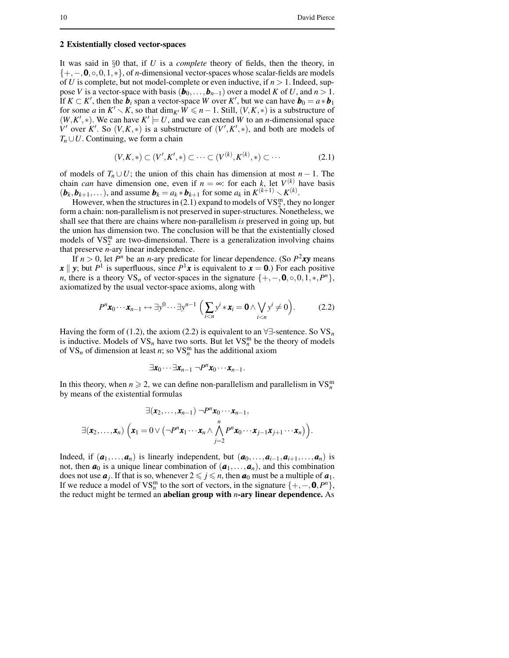### **2 Existentially closed vector-spaces**

It was said in §0 that, if *U* is a *complete* theory of fields, then the theory, in {+,−,0,◦,0,1,∗}, of *n*-dimensional vector-spaces whose scalar-fields are models of *U* is complete, but not model-complete or even inductive, if  $n > 1$ . Indeed, suppose *V* is a vector-space with basis  $(\mathbf{b}_0, \dots, \mathbf{b}_{n-1})$  over a model *K* of *U*, and  $n > 1$ . If  $K \subset K'$ , then the *b<sub>i</sub>* span a vector-space *W* over *K'*, but we can have *b*<sub>0</sub> =  $a * b_1$ for some *a* in  $K' \setminus K$ , so that  $\dim_{K'} W \leq n - 1$ . Still,  $(V, K, *)$  is a substructure of  $(W, K', *)$ . We can have  $K' \models U$ , and we can extend *W* to an *n*-dimensional space *V*<sup> $\prime$ </sup> over *K*<sup> $\prime$ </sup>. So  $(V, K, *)$  is a substructure of  $(V', K', *)$ , and both are models of  $T_n \cup U$ . Continuing, we form a chain

$$
(V, K, *) \subset (V', K', *) \subset \dots \subset (V^{(k)}, K^{(k)}, *) \subset \dots \tag{2.1}
$$

of models of  $T_n \cup U$ ; the union of this chain has dimension at most *n* − 1. The chain *can* have dimension one, even if  $n = \infty$ : for each *k*, let  $V^{(k)}$  have basis  $(b_k, b_{k+1}, \ldots)$ , and assume  $b_k = a_k * b_{k+1}$  for some  $a_k$  in  $K^{(k+1)} \setminus K^{(k)}$ .

However, when the structures in (2.1) expand to models of  $VS_2^m$ , they no longer form a chain: non-parallelism is not preserved in super-structures. Nonetheless, we shall see that there are chains where non-parallelism *is* preserved in going up, but the union has dimension two. The conclusion will be that the existentially closed models of  $VS_2^m$  are two-dimensional. There is a generalization involving chains that preserve *n*-ary linear independence.

If  $n > 0$ , let  $P^n$  be an *n*-ary predicate for linear dependence. (So  $P^2xy$  means *x* || *y*; but *P*<sup>1</sup> is superfluous, since *P*<sup>1</sup>*x* is equivalent to *x* = 0.) For each positive *n*, there is a theory  $VS_n$  of vector-spaces in the signature  $\{+,-,0, \circ, 0,1,*,P^n\}$ , axiomatized by the usual vector-space axioms, along with

$$
P^{n} \mathbf{x}_{0} \cdots \mathbf{x}_{n-1} \leftrightarrow \exists y^{0} \cdots \exists y^{n-1} \left( \sum_{i < n} y^{i} \ast \mathbf{x}_{i} = \mathbf{0} \wedge \bigvee_{i < n} y^{i} \neq 0 \right). \tag{2.2}
$$

Having the form of (1.2), the axiom (2.2) is equivalent to an  $\forall \exists$ -sentence. So  $VS_n$ is inductive. Models of  $VS_n$  have two sorts. But let  $VS_n^m$  be the theory of models of  $VS_n$  of dimension at least *n*; so  $VS_n^m$  has the additional axiom

$$
\exists \mathbf{x}_0 \cdots \exists \mathbf{x}_{n-1} \neg P^n \mathbf{x}_0 \cdots \mathbf{x}_{n-1}.
$$

In this theory, when  $n \ge 2$ , we can define non-parallelism and parallelism in  $VS_n^m$ by means of the existential formulas

$$
\exists (\mathbf{x}_2,\ldots,\mathbf{x}_{n-1}) \neg P^n \mathbf{x}_0 \cdots \mathbf{x}_{n-1},
$$
  

$$
\exists (\mathbf{x}_2,\ldots,\mathbf{x}_n) \left( \mathbf{x}_1 = 0 \vee (\neg P^n \mathbf{x}_1 \cdots \mathbf{x}_n \wedge \bigwedge_{j=2}^n P^n \mathbf{x}_0 \cdots \mathbf{x}_{j-1} \mathbf{x}_{j+1} \cdots \mathbf{x}_n) \right).
$$

Indeed, if  $(a_1,...,a_n)$  is linearly independent, but  $(a_0,...,a_{i-1},a_{i+1},...,a_n)$  is not, then  $a_0$  is a unique linear combination of  $(a_1, \ldots, a_n)$ , and this combination does not use  $a_j$ . If that is so, whenever  $2 \leq j \leq n$ , then  $a_0$  must be a multiple of  $a_1$ . If we reduce a model of VS<sup>m</sup> to the sort of vectors, in the signature  $\{+,-,0,P^n\}$ , the reduct might be termed an **abelian group with** *n***-ary linear dependence.** As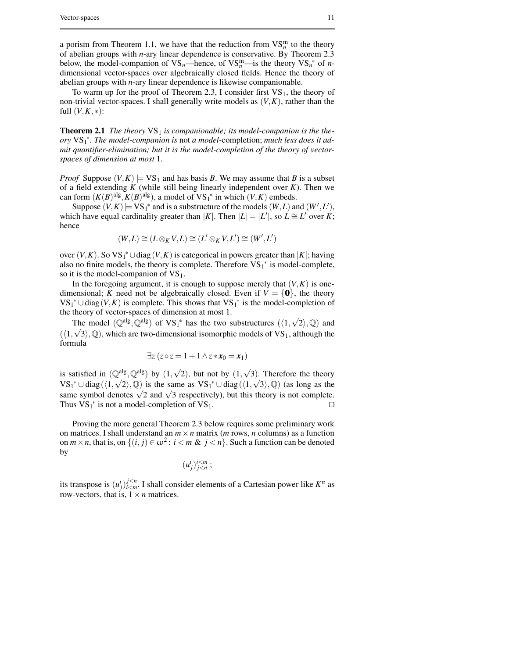a porism from Theorem 1.1, we have that the reduction from  $VS_n^m$  to the theory of abelian groups with *n*-ary linear dependence is conservative. By Theorem 2.3 below, the model-companion of  $VS_n$ —hence, of  $VS_n^m$ —is the theory  $VS_n^*$  of *n*dimensional vector-spaces over algebraically closed fields. Hence the theory of abelian groups with *n*-ary linear dependence is likewise companionable.

To warm up for the proof of Theorem 2.3, I consider first  $VS_1$ , the theory of non-trivial vector-spaces. I shall generally write models as (*V*,*K*), rather than the full  $(V, K, *)$ :

**Theorem 2.1** The theory  $VS_1$  is companionable; its model-companion is the the*ory* VS<sup>1</sup> ∗ *. The model-companion is* not *a model-*completion; *much less does it admit quantifier-elimination; but it is the model-completion of the theory of vectorspaces of dimension at most* 1*.*

*Proof* Suppose  $(V, K) \models VS_1$  and has basis *B*. We may assume that *B* is a subset of a field extending *K* (while still being linearly independent over *K*). Then we can form  $(K(B)^{alg}, K(B)^{alg})$ , a model of  $VS_1^*$  in which  $(V, K)$  embeds.

Suppose  $(V, K) \models VS_1^*$  and is a substructure of the models  $(W, L)$  and  $(W', L')$ , which have equal cardinality greater than  $|K|$ . Then  $|L| = |L'|$ , so  $L \cong L'$  over *K*; hence

$$
(W,L)\cong (L\otimes_K V,L)\cong (L'\otimes_K V,L')\cong (W',L')
$$

over  $(V, K)$ . So  $VS_1^* \cup diag(V, K)$  is categorical in powers greater than  $|K|$ ; having also no finite models, the theory is complete. Therefore  $VS_1^*$  is model-complete, so it is the model-companion of  $VS_1$ .

In the foregoing argument, it is enough to suppose merely that  $(V, K)$  is onedimensional; *K* need not be algebraically closed. Even if  $V = \{0\}$ , the theory VS<sub>1</sub><sup>\*</sup> ∪ diag(*V*,*K*) is complete. This shows that VS<sub>1</sub><sup>\*</sup> is the model-completion of the theory of vector-spaces of dimension at most 1.

The model  $(\mathbb{Q}^{alg}, \mathbb{Q}^{alg})$  of  $VS_1^*$  has the two substructures  $(\langle 1, \sqrt{2} \rangle, \mathbb{Q})$  and  $(\langle 1, \sqrt{3} \rangle, \mathbb{Q})$ , which are two-dimensional isomorphic models of VS<sub>1</sub>, although the formula

$$
\exists z (z \circ z = 1 + 1 \wedge z * x_0 = x_1)
$$

is satisfied in  $(\mathbb{Q}^{alg}, \mathbb{Q}^{alg})$  by  $(1, \sqrt{2})$ , but not by  $(1, \sqrt{3})$ . Therefore the theory  $VS_1^* \cup diag(\langle 1, \sqrt{2} \rangle, \mathbb{Q})$  is the same as  $VS_1^* \cup diag(\langle 1, \sqrt{3} \rangle, \mathbb{Q})$  (as long as the same symbol denotes  $\sqrt{2}$  and  $\sqrt{3}$  respectively), but this theory is not complete. Thus  $VS_1^*$  is not a model-completion of  $VS_1$ .

Proving the more general Theorem 2.3 below requires some preliminary work on matrices. I shall understand an  $m \times n$  matrix (*m* rows, *n* columns) as a function on  $m \times n$ , that is, on  $\{(i, j) \in \omega^2 : i < m \& j < n\}$ . Such a function can be denoted by

$$
(u_j^i)_{j
$$

its transpose is  $(u_j^i)_{i \le m}^{j \le n}$  $i \leq m$ . I shall consider elements of a Cartesian power like  $K^n$  as row-vectors, that is,  $1 \times n$  matrices.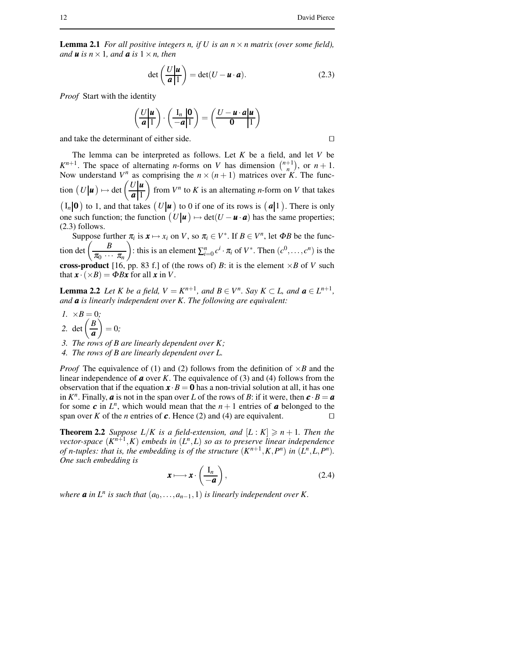**Lemma 2.1** *For all positive integers n, if*  $U$  *is an*  $n \times n$  *matrix* (*over some field*), *and u is*  $n \times 1$ *, and a**is*  $1 \times n$ *, then* 

$$
\det\left(\frac{U|\mathbf{u}}{\mathbf{a}|1}\right) = \det(U - \mathbf{u} \cdot \mathbf{a}).
$$
 (2.3)

*Proof* Start with the identity

$$
\left(\frac{U|\mathbf{u}}{\mathbf{a}|1}\right)\cdot\left(\frac{\mathbf{I}_n|\mathbf{0}}{-\mathbf{a}|1}\right)=\left(\frac{U-\mathbf{u}\cdot\mathbf{a}|\mathbf{u}}{\mathbf{0}|1}\right)
$$

and take the determinant of either side.  $\Box$ 

The lemma can be interpreted as follows. Let *K* be a field, and let *V* be  $K^{n+1}$ . The space of alternating *n*-forms on *V* has dimension  $\binom{n+1}{n}$ , or  $n+1$ . Now understand  $V^n$  as comprising the  $n \times (n+1)$  matrices over *K*. The function  $(U|\mathbf{u}) \mapsto \det \left(\frac{U|\mathbf{u}|}{|\mathbf{a}|} \right)$ *a* 1 from  $V^n$  to K is an alternating *n*-form on V that takes  $(I_n|\mathbf{0})$  to 1, and that takes  $(U|\mathbf{u})$  to 0 if one of its rows is  $(\mathbf{a}|1)$ . There is only one such function; the function  $(U|\mathbf{u}) \mapsto \det(U - \mathbf{u} \cdot \mathbf{a})$  has the same properties; (2.3) follows.

Suppose further  $\pi_i$  is  $\mathbf{x} \mapsto x_i$  on *V*, so  $\pi_i \in V^*$ . If  $B \in V^n$ , let  $\Phi B$  be the function det  $\left(\frac{B}{\pi}\right)$  $\pi_0$   $\cdots$   $\pi_n$ ): this is an element  $\sum_{i=0}^{n} c^i \cdot \pi_i$  of  $V^*$ . Then  $(c^0, \ldots, c^n)$  is the **cross-product** [16, pp. 83 f.] of (the rows of) *B*: it is the element  $\times$ *B* of *V* such that  $\mathbf{x} \cdot (\times B) = \Phi B \mathbf{x}$  for all  $\mathbf{x}$  in *V*.

**Lemma 2.2** Let K be a field,  $V = K^{n+1}$ , and  $B \in V^n$ . Say  $K \subset L$ , and  $a \in L^{n+1}$ , *and a is linearly independent over K. The following are equivalent:*

- *1.*  $\times B = 0$ *;* 2. det  $\left(\frac{B}{a}\right)$ *a*  $= 0;$
- *3. The rows of B are linearly dependent over K;*
- *4. The rows of B are linearly dependent over L.*

*Proof* The equivalence of (1) and (2) follows from the definition of  $\times$ *B* and the linear independence of *a* over *K*. The equivalence of (3) and (4) follows from the observation that if the equation  $\mathbf{x} \cdot \mathbf{B} = \mathbf{0}$  has a non-trivial solution at all, it has one in  $K^n$ . Finally, *a* is not in the span over *L* of the rows of *B*: if it were, then  $\boldsymbol{c} \cdot \boldsymbol{B} = \boldsymbol{a}$ for some  $\boldsymbol{c}$  in  $L^n$ , which would mean that the  $n+1$  entries of  $\boldsymbol{a}$  belonged to the span over *K* of the *n* entries of **c**. Hence (2) and (4) are equivalent.

**Theorem 2.2** *Suppose*  $L/K$  *is a field-extension, and*  $[L:K] \geq n+1$ *. Then the vector-space* (*K n*+1 ,*K*) *embeds in* (*L n* ,*L*) *so as to preserve linear independence* of n-tuples: that is, the embedding is of the structure  $(K^{n+1}, K, P^n)$  in  $(L^n, L, P^n)$ . *One such embedding is*

$$
\mathbf{x} \longmapsto \mathbf{x} \cdot \left(\frac{\mathbf{I}_n}{-\mathbf{a}}\right),\tag{2.4}
$$

*where a* in  $L^n$  *is such that*  $(a_0, \ldots, a_{n-1}, 1)$  *is linearly independent over K*.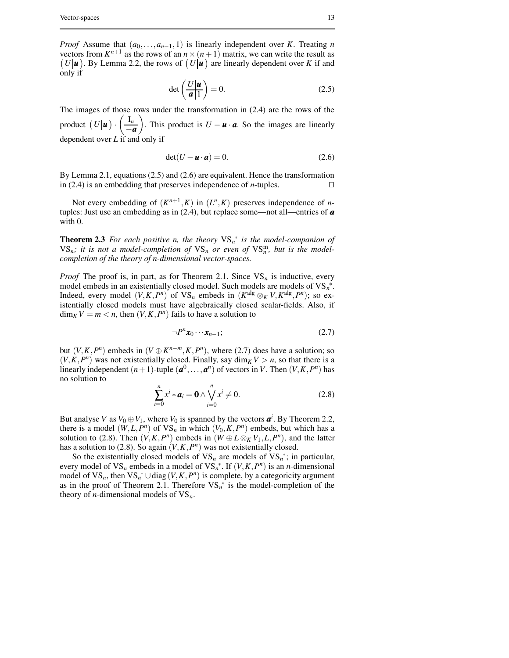*Proof* Assume that  $(a_0, \ldots, a_{n-1}, 1)$  is linearly independent over *K*. Treating *n* vectors from  $K^{n+1}$  as the rows of an  $n \times (n+1)$  matrix, we can write the result as  $(U|\mathbf{u})$ . By Lemma 2.2, the rows of  $(U|\mathbf{u})$  are linearly dependent over *K* if and only if

$$
\det\left(\frac{U|\mathbf{u}}{\mathbf{a}|1}\right) = 0.\tag{2.5}
$$

The images of those rows under the transformation in (2.4) are the rows of the product  $(U|\boldsymbol{u})$  ·  $\int$  I<sub>n</sub> −*a* ). This product is  $U - u \cdot a$ . So the images are linearly dependent over *L* if and only if

$$
\det(U - \mathbf{u} \cdot \mathbf{a}) = 0. \tag{2.6}
$$

By Lemma 2.1, equations (2.5) and (2.6) are equivalent. Hence the transformation in (2.4) is an embedding that preserves independence of *n*-tuples.  $\square$ 

Not every embedding of  $(K^{n+1}, K)$  in  $(L^n, K)$  preserves independence of *n*tuples: Just use an embedding as in (2.4), but replace some—not all—entries of *a* with 0.

**Theorem 2.3** For each positive *n*, the theory  $VS_n^*$  is the model-companion of  $VS_n$ ; *it is not a model-completion of*  $VS_n$  *or even of*  $VS_n^m$ , *but is the modelcompletion of the theory of n-dimensional vector-spaces.*

*Proof* The proof is, in part, as for Theorem 2.1. Since  $VS_n$  is inductive, every model embeds in an existentially closed model. Such models are models of VS*<sup>n</sup>* ∗ . Indeed, every model  $(V, K, P^n)$  of  $VS_n$  embeds in  $(K^{alg} \otimes_K V, K^{alg}, P^n)$ ; so existentially closed models must have algebraically closed scalar-fields. Also, if  $\dim_K V = m < n$ , then  $(V, K, P^n)$  fails to have a solution to

$$
\neg P^n \mathbf{x}_0 \cdots \mathbf{x}_{n-1};\tag{2.7}
$$

but  $(V, K, P^n)$  embeds in  $(V \oplus K^{n-m}, K, P^n)$ , where (2.7) does have a solution; so  $(V, K, P<sup>n</sup>)$  was not existentially closed. Finally, say  $\dim_K V > n$ , so that there is a linearly independent  $(n+1)$ -tuple  $(a^0, \ldots, a^n)$  of vectors in *V*. Then  $(V, K, P^n)$  has no solution to

$$
\sum_{i=0}^{n} x^{i} * \boldsymbol{a}_{i} = \mathbf{0} \wedge \bigvee_{i=0}^{n} x^{i} \neq 0.
$$
 (2.8)

But analyse *V* as  $V_0 \oplus V_1$ , where  $V_0$  is spanned by the vectors  $a^i$ . By Theorem 2.2, there is a model  $(W, L, P^n)$  of  $VS_n$  in which  $(V_0, K, P^n)$  embeds, but which has a solution to (2.8). Then  $(V, K, P^n)$  embeds in  $(W \oplus L \otimes_K V_1, L, P^n)$ , and the latter has a solution to (2.8). So again  $(V, K, P^n)$  was not existentially closed.

So the existentially closed models of  $VS_n$  are models of  $VS_n^*$ ; in particular, every model of  $VS_n$  embeds in a model of  $VS_n^*$ . If  $(V, K, P^n)$  is an *n*-dimensional model of  $VS_n$ , then  $VS_n^* \cup diag(V, K, P^n)$  is complete, by a categoricity argument as in the proof of Theorem 2.1. Therefore VS*<sup>n</sup>* ∗ is the model-completion of the theory of *n*-dimensional models of  $VS_n$ .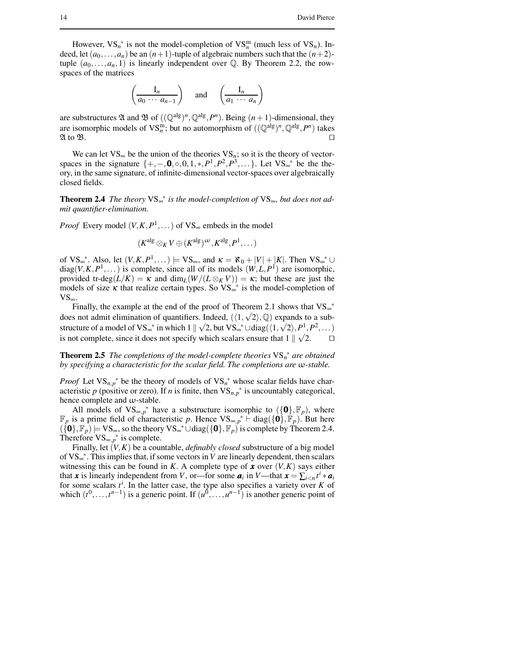However,  $VS_n^*$  is not the model-completion of  $VS_n^m$  (much less of  $VS_n$ ). Indeed, let  $(a_0, \ldots, a_n)$  be an  $(n+1)$ -tuple of algebraic numbers such that the  $(n+2)$ tuple  $(a_0, \ldots, a_n, 1)$  is linearly independent over  $\mathbb Q$ . By Theorem 2.2, the rowspaces of the matrices

$$
\left(\frac{\mathbf{I}_n}{a_0 \cdots a_{n-1}}\right) \quad \text{and} \quad \left(\frac{\mathbf{I}_n}{a_1 \cdots a_n}\right)
$$

are substructures  $\mathfrak A$  and  $\mathfrak B$  of  $((\mathbb{Q}^{alg})^n, \mathbb{Q}^{alg}, P^n)$ . Being  $(n+1)$ -dimensional, they are isomorphic models of VS<sup>m</sup>, but no automorphism of  $((\mathbb{Q}^{alg})^n, \mathbb{Q}^{alg}, P^n)$  takes  $\mathfrak{A}$  to  $\mathfrak{B}$ .

We can let  $VS_{\infty}$  be the union of the theories  $VS_n$ ; so it is the theory of vectorspaces in the signature  $\{+, -, \mathbf{0}, \circ, 0, 1, *, P^1, P^2, P^3, \dots\}$ . Let VS<sub>∞</sub><sup>\*</sup> be the theory, in the same signature, of infinite-dimensional vector-spaces over algebraically closed fields.

**Theorem 2.4** *The theory* VS<sup>∞</sup> ∗ *is the model-completion of* VS∞*, but does not admit quantifier-elimination.*

*Proof* Every model  $(V, K, P^1, ...)$  of VS<sub>∞</sub> embeds in the model

$$
(K^{alg} \otimes_K V \oplus (K^{alg})^{\omega}, K^{alg}, P^1, \dots)
$$

of VS<sub>∞</sub><sup>\*</sup>. Also, let  $(V, K, P^1, ...)$   $\models$  VS<sub>∞</sub>, and  $\kappa = \aleph_0 + |V| + |K|$ . Then VS<sub>∞</sub><sup>\*</sup> ∪  $diag(V, K, P<sup>1</sup>,...)$  is complete, since all of its models  $(W, L, P<sup>1</sup>)$  are isomorphic, provided tr-deg( $L/K$ ) =  $\kappa$  and dim<sub>*L*</sub>( $W/(L \otimes_K V)$ ) =  $\kappa$ ; but these are just the models of size  $\kappa$  that realize certain types. So VS<sup> $_{\infty}$ \*</sup> is the model-completion of  $VS_{\infty}$ .

Finally, the example at the end of the proof of Theorem 2.1 shows that  $VS_{\infty}^*$ does not admit elimination of quantifiers. Indeed,  $(\langle 1, \sqrt{2} \rangle, \mathbb{Q})$  expands to a substructure of a model of VS<sub>∞</sub><sup>\*</sup> in which  $1 \parallel \sqrt{2}$ , but VS<sub>∞</sub><sup>\*</sup>  $\cup$  diag( $\langle 1, \sqrt{2} \rangle, P^1, P^2, \dots$ ) is not complete, since it does not specify which scalars ensure that  $1 \parallel \sqrt{2}$ .

**Theorem 2.5** *The completions of the model-complete theories* VS*<sup>n</sup>* ∗ *are obtained by specifying a characteristic for the scalar field. The completions are* ω*-stable.*

*Proof* Let  $VS_{n,p}^*$  be the theory of models of  $VS_n^*$  whose scalar fields have characteristic p (positive or zero). If *n* is finite, then  $VS_{n,p}^*$  is uncountably categorical, hence complete and  $\omega$ -stable.

All models of  $VS_{\infty,p}^*$  have a substructure isomorphic to  $({\bf{0}},F_p)$ , where  $\mathbb{F}_p$  is a prime field of characteristic *p*. Hence  $VS_{\infty,p}^*$  ← diag({0},  $\mathbb{F}_p$ ). But here  $({\bf \{0\}},{\mathbb{F}}_p)\models \mathrm{VS}_{\infty}$ , so the theory  $\mathrm{VS}_{\infty}^*\cup \mathrm{diag}({\bf \{0\}},{\mathbb{F}}_p)$  is complete by Theorem 2.4. Therefore  $VS_{\infty,p}^*$  is complete.

Finally, let (*V*,*K*) be a countable, *definably closed* substructure of a big model of VS<sub>∞</sub><sup>\*</sup>. This implies that, if some vectors in *V* are linearly dependent, then scalars witnessing this can be found in *K*. A complete type of **x** over  $(V, K)$  says either that *x* is linearly independent from *V*, or—for some  $a_i$  in *V*—that  $x = \sum_{i \le n} t^i * a_i$ for some scalars  $t^i$ . In the latter case, the type also specifies a variety over *K* of which  $(t^0, \ldots, t^{n-1})$  is a generic point. If  $(u^0, \ldots, u^{n-1})$  is another generic point of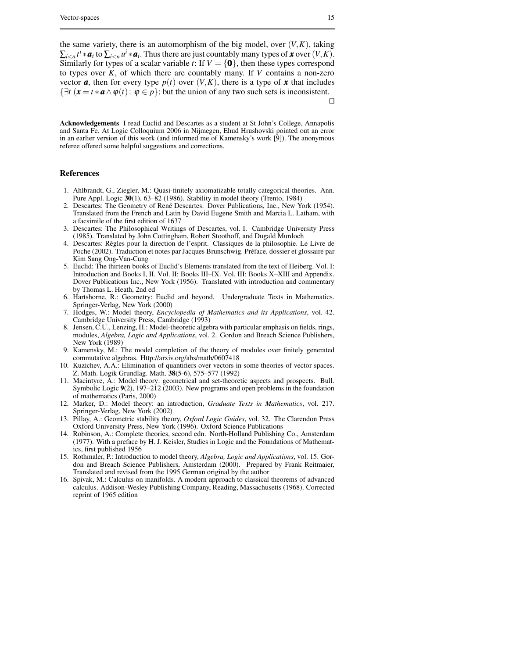the same variety, there is an automorphism of the big model, over  $(V, K)$ , taking  $\sum_{i \le n} t^i * a_i$  to  $\sum_{i \le n} u^i * a_i$ . Thus there are just countably many types of *x* over  $(V, K)$ . Similarly for types of a scalar variable *t*: If  $V = \{0\}$ , then these types correspond to types over *K*, of which there are countably many. If *V* contains a non-zero vector **a**, then for every type  $p(t)$  over  $(V, K)$ , there is a type of **x** that includes  $\{\exists t \ (\mathbf{x} = t \cdot \mathbf{a} \wedge \varphi(t): \varphi \in p\}$ ; but the union of any two such sets is inconsistent.  $\Box$ 

**Acknowledgements** I read Euclid and Descartes as a student at St John's College, Annapolis and Santa Fe. At Logic Colloquium 2006 in Nijmegen, Ehud Hrushovski pointed out an error in an earlier version of this work (and informed me of Kamensky's work [9]). The anonymous referee offered some helpful suggestions and corrections.

#### **References**

- 1. Ahlbrandt, G., Ziegler, M.: Quasi-finitely axiomatizable totally categorical theories. Ann. Pure Appl. Logic **30**(1), 63–82 (1986). Stability in model theory (Trento, 1984)
- 2. Descartes: The Geometry of René Descartes. Dover Publications, Inc., New York (1954). Translated from the French and Latin by David Eugene Smith and Marcia L. Latham, with a facsimile of the first edition of 1637
- 3. Descartes: The Philosophical Writings of Descartes, vol. I. Cambridge University Press (1985). Translated by John Cottingham, Robert Stoothoff, and Dugald Murdoch
- 4. Descartes: Règles pour la direction de l'esprit. Classiques de la philosophie. Le Livre de Poche (2002). Traduction et notes par Jacques Brunschwig. Préface, dossier et glossaire par Kim Sang Ong-Van-Cung
- 5. Euclid: The thirteen books of Euclid's Elements translated from the text of Heiberg. Vol. I: Introduction and Books I, II. Vol. II: Books III–IX. Vol. III: Books X–XIII and Appendix. Dover Publications Inc., New York (1956). Translated with introduction and commentary by Thomas L. Heath, 2nd ed
- 6. Hartshorne, R.: Geometry: Euclid and beyond. Undergraduate Texts in Mathematics. Springer-Verlag, New York (2000)
- 7. Hodges, W.: Model theory, *Encyclopedia of Mathematics and its Applications*, vol. 42. Cambridge University Press, Cambridge (1993)
- 8. Jensen, C.U., Lenzing, H.: Model-theoretic algebra with particular emphasis on fields, rings, modules, *Algebra, Logic and Applications*, vol. 2. Gordon and Breach Science Publishers, New York (1989)
- 9. Kamensky, M.: The model completion of the theory of modules over finitely generated commutative algebras. Http://arxiv.org/abs/math/0607418
- 10. Kuzichev, A.A.: Elimination of quantifiers over vectors in some theories of vector spaces. Z. Math. Logik Grundlag. Math. **38**(5-6), 575–577 (1992)
- 11. Macintyre, A.: Model theory: geometrical and set-theoretic aspects and prospects. Bull. Symbolic Logic **9**(2), 197–212 (2003). New programs and open problems in the foundation of mathematics (Paris, 2000)
- 12. Marker, D.: Model theory: an introduction, *Graduate Texts in Mathematics*, vol. 217. Springer-Verlag, New York (2002)
- 13. Pillay, A.: Geometric stability theory, *Oxford Logic Guides*, vol. 32. The Clarendon Press Oxford University Press, New York (1996). Oxford Science Publications
- 14. Robinson, A.: Complete theories, second edn. North-Holland Publishing Co., Amsterdam (1977). With a preface by H. J. Keisler, Studies in Logic and the Foundations of Mathematics, first published 1956
- 15. Rothmaler, P.: Introduction to model theory, *Algebra, Logic and Applications*, vol. 15. Gordon and Breach Science Publishers, Amsterdam (2000). Prepared by Frank Reitmaier, Translated and revised from the 1995 German original by the author
- 16. Spivak, M.: Calculus on manifolds. A modern approach to classical theorems of advanced calculus. Addison-Wesley Publishing Company, Reading, Massachusetts (1968). Corrected reprint of 1965 edition